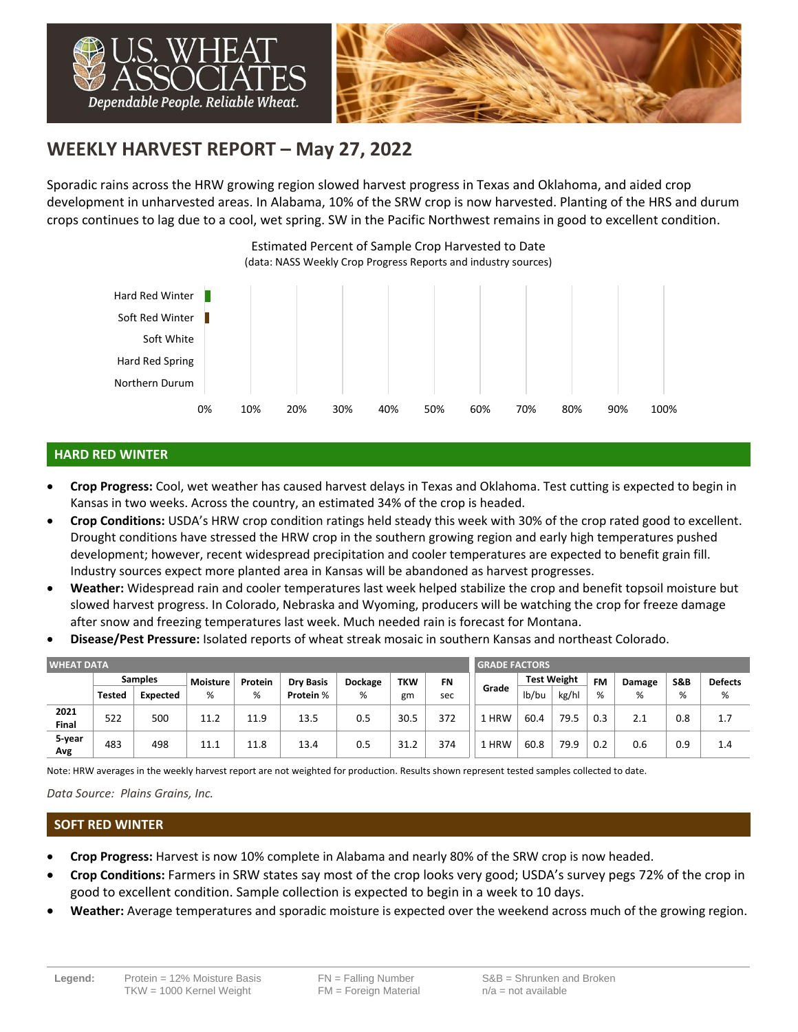

# **WEEKLY HARVEST REPORT – May 27, 2022**

Sporadic rains across the HRW growing region slowed harvest progress in Texas and Oklahoma, and aided crop development in unharvested areas. In Alabama, 10% of the SRW crop is now harvested. Planting of the HRS and durum crops continues to lag due to a cool, wet spring. SW in the Pacific Northwest remains in good to excellent condition.



# **HARD RED WINTER**

- **Crop Progress:** Cool, wet weather has caused harvest delays in Texas and Oklahoma. Test cutting is expected to begin in Kansas in two weeks. Across the country, an estimated 34% of the crop is headed.
- **Crop Conditions:** USDA's HRW crop condition ratings held steady this week with 30% of the crop rated good to excellent. Drought conditions have stressed the HRW crop in the southern growing region and early high temperatures pushed development; however, recent widespread precipitation and cooler temperatures are expected to benefit grain fill. Industry sources expect more planted area in Kansas will be abandoned as harvest progresses.
- **Weather:** Widespread rain and cooler temperatures last week helped stabilize the crop and benefit topsoil moisture but slowed harvest progress. In Colorado, Nebraska and Wyoming, producers will be watching the crop for freeze damage after snow and freezing temperatures last week. Much needed rain is forecast for Montana.
- **Disease/Pest Pressure:** Isolated reports of wheat streak mosaic in southern Kansas and northeast Colorado.

| <b>WHEAT DATA</b>    |                |          |                 |         |                  |         |            |           |            | <b>GRADE FACTORS</b> |                    |     |        |                |                |  |  |
|----------------------|----------------|----------|-----------------|---------|------------------|---------|------------|-----------|------------|----------------------|--------------------|-----|--------|----------------|----------------|--|--|
|                      | <b>Samples</b> |          | <b>Moisture</b> | Protein | <b>Dry Basis</b> | Dockage | <b>TKW</b> | <b>FN</b> |            |                      | <b>Test Weight</b> |     | Damage | <b>S&amp;B</b> | <b>Defects</b> |  |  |
|                      | <b>Tested</b>  | Expected | %               | %       | Protein %        | %       | gm         | sec       | Grade      | lb/bu                | kg/hl              | %   | %      | %              | %              |  |  |
| 2021<br><b>Final</b> | 522            | 500      | 11.2            | 11.9    | 13.5             | 0.5     | 30.5       | 372       | <b>HRW</b> | 60.4                 | 79.5               | 0.3 |        | 0.8            | 1.7            |  |  |
| 5-year<br>Avg        | 483            | 498      | 11.1            | 11.8    | 13.4             | 0.5     | 31.2       | 374       | . HRW      | 60.8                 | 79.9               | 0.2 | 0.6    | 0.9            | 1.4            |  |  |

Note: HRW averages in the weekly harvest report are not weighted for production. Results shown represent tested samples collected to date.

*Data Source: Plains Grains, Inc.*

#### **SOFT RED WINTER**

- **Crop Progress:** Harvest is now 10% complete in Alabama and nearly 80% of the SRW crop is now headed.
- **Crop Conditions:** Farmers in SRW states say most of the crop looks very good; USDA's survey pegs 72% of the crop in good to excellent condition. Sample collection is expected to begin in a week to 10 days.
- **Weather:** Average temperatures and sporadic moisture is expected over the weekend across much of the growing region.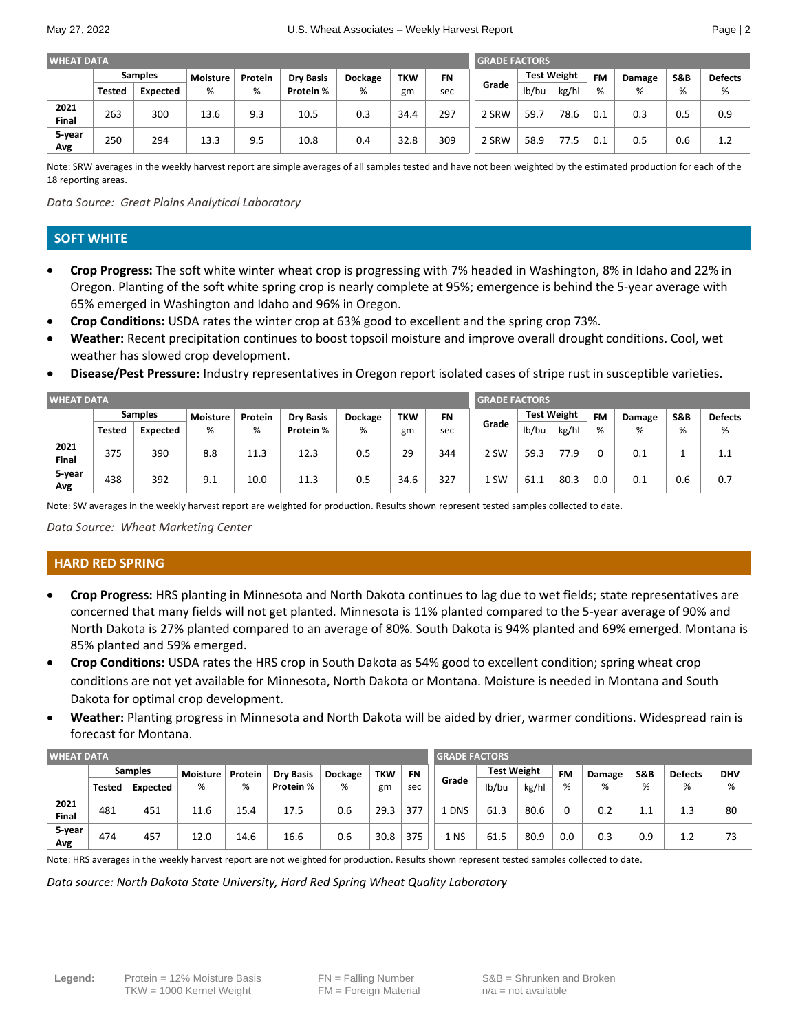| <b>WHEAT DATA</b> |                |                 |                 |         |                  |         |            |           | <b>GRADE FACTORS</b> |       |                    |     |        |                |                |
|-------------------|----------------|-----------------|-----------------|---------|------------------|---------|------------|-----------|----------------------|-------|--------------------|-----|--------|----------------|----------------|
|                   | <b>Samples</b> |                 | <b>Moisture</b> | Protein | <b>Dry Basis</b> | Dockage | <b>TKW</b> | <b>FN</b> |                      |       | <b>Test Weight</b> |     | Damage | <b>S&amp;B</b> | <b>Defects</b> |
|                   | <b>Tested</b>  | <b>Expected</b> | %               | %       | Protein %        | %       | gm         | sec       | Grade                | lb/bu | kg/hl              | %   | %      | %              | %              |
| 2021<br>Final     | 263            | 300             | 13.6            | 9.3     | 10.5             | 0.3     | 34.4       | 297       | 2 SRW                | 59.7  | 78.6               | 0.1 | 0.3    | 0.5            | 0.9            |
| 5-year<br>Avg     | 250            | 294             | 13.3            | 9.5     | 10.8             | 0.4     | 32.8       | 309       | 2 SRW                | 58.9  | 77.5               | 0.1 | 0.5    | 0.6            | 1.2            |

Note: SRW averages in the weekly harvest report are simple averages of all samples tested and have not been weighted by the estimated production for each of the 18 reporting areas.

*Data Source: Great Plains Analytical Laboratory*

## **SOFT WHITE**

- **Crop Progress:** The soft white winter wheat crop is progressing with 7% headed in Washington, 8% in Idaho and 22% in Oregon. Planting of the soft white spring crop is nearly complete at 95%; emergence is behind the 5-year average with 65% emerged in Washington and Idaho and 96% in Oregon.
- **Crop Conditions:** USDA rates the winter crop at 63% good to excellent and the spring crop 73%.
- **Weather:** Recent precipitation continues to boost topsoil moisture and improve overall drought conditions. Cool, wet weather has slowed crop development.
- **Disease/Pest Pressure:** Industry representatives in Oregon report isolated cases of stripe rust in susceptible varieties.

| <b>WHEAT DATA</b> |                |                 |                 |         |                  |         |            |           |       | <b>GRADE FACTORS</b> |                    |     |        |                |                |  |  |
|-------------------|----------------|-----------------|-----------------|---------|------------------|---------|------------|-----------|-------|----------------------|--------------------|-----|--------|----------------|----------------|--|--|
|                   | <b>Samples</b> |                 | <b>Moisture</b> | Protein | <b>Dry Basis</b> | Dockage | <b>TKW</b> | <b>FN</b> |       |                      | <b>Test Weight</b> |     | Damage | <b>S&amp;B</b> | <b>Defects</b> |  |  |
|                   | <b>Tested</b>  | <b>Expected</b> | %               | %       | Protein %        | %       | gm         | sec       | Grade | lb/bu                | kg/hl              | %   | %      | %              | %              |  |  |
| 2021<br>Final     | 375            | 390             | 8.8             | 11.3    | 12.3             | 0.5     | 29         | 344       | 2 SW  | 59.3                 | 77.9               |     | 0.1    |                | 1.1            |  |  |
| 5-year<br>Avg     | 438            | 392             | 9.1             | 10.0    | 11.3             | 0.5     | 34.6       | 327       | 1 SW  | 61.1                 | 80.3               | 0.0 | 0.1    | 0.6            | 0.7            |  |  |

Note: SW averages in the weekly harvest report are weighted for production. Results shown represent tested samples collected to date.

*Data Source: Wheat Marketing Center*

# **HARD RED SPRING**

- **Crop Progress:** HRS planting in Minnesota and North Dakota continues to lag due to wet fields; state representatives are concerned that many fields will not get planted. Minnesota is 11% planted compared to the 5-year average of 90% and North Dakota is 27% planted compared to an average of 80%. South Dakota is 94% planted and 69% emerged. Montana is 85% planted and 59% emerged.
- **Crop Conditions:** USDA rates the HRS crop in South Dakota as 54% good to excellent condition; spring wheat crop conditions are not yet available for Minnesota, North Dakota or Montana. Moisture is needed in Montana and South Dakota for optimal crop development.
- **Weather:** Planting progress in Minnesota and North Dakota will be aided by drier, warmer conditions. Widespread rain is forecast for Montana.

| <b>WHEAT DATA</b>    |                |          |                 |         |                  |         |            |           | <b>GRADE FACTORS</b> |                    |       |           |        |                |                |            |  |
|----------------------|----------------|----------|-----------------|---------|------------------|---------|------------|-----------|----------------------|--------------------|-------|-----------|--------|----------------|----------------|------------|--|
|                      | <b>Samples</b> |          | <b>Moisture</b> | Protein | <b>Dry Basis</b> | Dockage | <b>TKW</b> | <b>FN</b> |                      | <b>Test Weight</b> |       | <b>FM</b> | Damage | <b>S&amp;B</b> | <b>Defects</b> | <b>DHV</b> |  |
|                      | <b>Tested</b>  | Expected | %               | %       | Protein %        | %       | gm         | sec       | Grade                | lb/bu              | kg/hl | %         | %      | %              | %              | %          |  |
| 2021<br><b>Final</b> | 481            | 451      | 11.6            | 15.4    | 17.5             | 0.6     | 29.3       | 377       | <b>DNS</b>           | 61.3               | 80.6  |           | 0.2    |                | 1.3            | 80         |  |
| 5-year<br>Avg        | 474            | 457      | 12.0            | 14.6    | 16.6             | 0.6     | 30.8       | 375       | 1 NS                 | 61.5               | 80.9  | 0.0       | 0.3    | 0.9            | 1.2            | 73         |  |

Note: HRS averages in the weekly harvest report are not weighted for production. Results shown represent tested samples collected to date.

*Data source: North Dakota State University, Hard Red Spring Wheat Quality Laboratory*